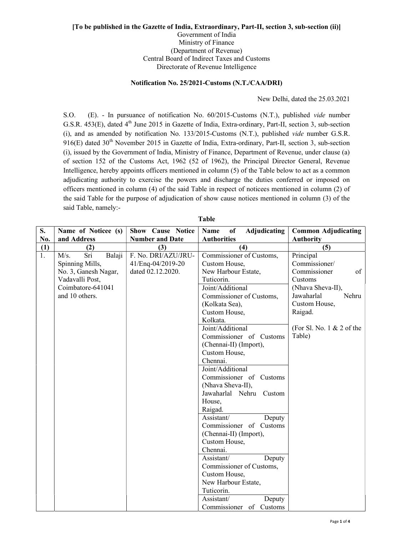## [To be published in the Gazette of India, Extraordinary, Part-II, section 3, sub-section (ii)] Government of India Ministry of Finance (Department of Revenue)

Central Board of Indirect Taxes and Customs

Directorate of Revenue Intelligence

## Notification No. 25/2021-Customs (N.T./CAA/DRI)

New Delhi, dated the 25.03.2021

S.O. (E). - In pursuance of notification No. 60/2015-Customs (N.T.), published vide number G.S.R. 453(E), dated 4<sup>th</sup> June 2015 in Gazette of India, Extra-ordinary, Part-II, section 3, sub-section (i), and as amended by notification No. 133/2015-Customs (N.T.), published vide number G.S.R.  $916(E)$  dated  $30<sup>th</sup>$  November 2015 in Gazette of India, Extra-ordinary, Part-II, section 3, sub-section (i), issued by the Government of India, Ministry of Finance, Department of Revenue, under clause (a) of section 152 of the Customs Act, 1962 (52 of 1962), the Principal Director General, Revenue Intelligence, hereby appoints officers mentioned in column (5) of the Table below to act as a common adjudicating authority to exercise the powers and discharge the duties conferred or imposed on officers mentioned in column (4) of the said Table in respect of noticees mentioned in column (2) of the said Table for the purpose of adjudication of show cause notices mentioned in column (3) of the said Table, namely:-

| S.  | Name of Noticee (s)   | Show Cause Notice      | <sub>of</sub><br>Adjudicating<br><b>Name</b> | <b>Common Adjudicating</b>   |
|-----|-----------------------|------------------------|----------------------------------------------|------------------------------|
| No. | and Address           | <b>Number and Date</b> | <b>Authorities</b>                           | <b>Authority</b>             |
| (1) | (2)                   | (3)                    | (4)                                          | (5)                          |
| 1.  | Balaji<br>Sri<br>M/s. | F. No. DRI/AZU/JRU-    | Commissioner of Customs,                     | Principal                    |
|     | Spinning Mills,       | 41/Enq-04/2019-20      | Custom House,                                | Commissioner/                |
|     | No. 3, Ganesh Nagar,  | dated 02.12.2020.      | New Harbour Estate,                          | Commissioner<br>of           |
|     | Vadavalli Post,       |                        | Tuticorin.                                   | Customs                      |
|     | Coimbatore-641041     |                        | Joint/Additional                             | (Nhava Sheva-II),            |
|     | and 10 others.        |                        | Commissioner of Customs,                     | Jawaharlal<br>Nehru          |
|     |                       |                        | (Kolkata Sea),                               | Custom House,                |
|     |                       |                        | Custom House,                                | Raigad.                      |
|     |                       |                        | Kolkata.                                     |                              |
|     |                       |                        | Joint/Additional                             | (For Sl. No. $1 \& 2$ of the |
|     |                       |                        | Commissioner of Customs                      | Table)                       |
|     |                       |                        | (Chennai-II) (Import),                       |                              |
|     |                       |                        | Custom House,                                |                              |
|     |                       |                        | Chennai.                                     |                              |
|     |                       |                        | Joint/Additional                             |                              |
|     |                       |                        | Commissioner of Customs                      |                              |
|     |                       |                        | (Nhava Sheva-II),                            |                              |
|     |                       |                        | Jawaharlal Nehru Custom                      |                              |
|     |                       |                        | House,                                       |                              |
|     |                       |                        | Raigad.                                      |                              |
|     |                       |                        | Assistant/<br>Deputy                         |                              |
|     |                       |                        | Commissioner of Customs                      |                              |
|     |                       |                        | (Chennai-II) (Import),                       |                              |
|     |                       |                        | Custom House,                                |                              |
|     |                       |                        | Chennai.                                     |                              |
|     |                       |                        | Assistant/<br>Deputy                         |                              |
|     |                       |                        | Commissioner of Customs,                     |                              |
|     |                       |                        | Custom House,                                |                              |
|     |                       |                        | New Harbour Estate,                          |                              |
|     |                       |                        | Tuticorin.                                   |                              |
|     |                       |                        | Assistant/<br>Deputy                         |                              |
|     |                       |                        | Commissioner of Customs                      |                              |

Table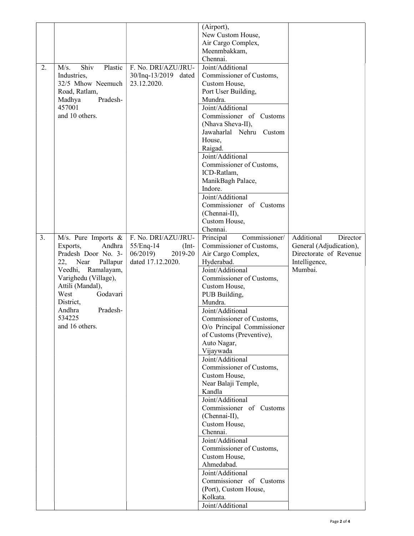|    |                         |                      | (Airport),                    |                         |
|----|-------------------------|----------------------|-------------------------------|-------------------------|
|    |                         |                      | New Custom House,             |                         |
|    |                         |                      | Air Cargo Complex,            |                         |
|    |                         |                      | Meenmbakkam,                  |                         |
|    |                         |                      | Chennai.                      |                         |
| 2. | Shiv<br>Plastic<br>M/s. | F. No. DRI/AZU/JRU-  | Joint/Additional              |                         |
|    | Industries,             | 30/Inq-13/2019 dated | Commissioner of Customs,      |                         |
|    | 32/5 Mhow Neemuch       | 23.12.2020.          | Custom House,                 |                         |
|    | Road, Ratlam,           |                      | Port User Building,           |                         |
|    | Pradesh-<br>Madhya      |                      | Mundra.                       |                         |
|    | 457001                  |                      | Joint/Additional              |                         |
|    | and 10 others.          |                      | Commissioner of Customs       |                         |
|    |                         |                      | (Nhava Sheva-II),             |                         |
|    |                         |                      | Jawaharlal Nehru Custom       |                         |
|    |                         |                      | House,                        |                         |
|    |                         |                      | Raigad.                       |                         |
|    |                         |                      | Joint/Additional              |                         |
|    |                         |                      | Commissioner of Customs,      |                         |
|    |                         |                      | ICD-Ratlam,                   |                         |
|    |                         |                      | ManikBagh Palace,             |                         |
|    |                         |                      | Indore.                       |                         |
|    |                         |                      | Joint/Additional              |                         |
|    |                         |                      | Commissioner of Customs       |                         |
|    |                         |                      | (Chennai-II),                 |                         |
|    |                         |                      | Custom House,                 |                         |
|    |                         |                      | Chennai.                      |                         |
| 3. | M/s. Pure Imports $\&$  | F. No. DRI/AZU/JRU-  | Commissioner/<br>Principal    | Additional<br>Director  |
|    | Exports,<br>Andhra      | 55/Enq-14<br>$(Int-$ | Commissioner of Customs,      | General (Adjudication), |
|    | Pradesh Door No. 3-     | 06/2019<br>2019-20   | Air Cargo Complex,            | Directorate of Revenue  |
|    | 22, Near<br>Pallapur    | dated 17.12.2020.    | Hyderabad.                    | Intelligence,           |
|    | Veedhi, Ramalayam,      |                      | Joint/Additional              | Mumbai.                 |
|    | Varighedu (Village),    |                      | Commissioner of Customs,      |                         |
|    | Attili (Mandal),        |                      | Custom House,                 |                         |
|    | West<br>Godavari        |                      | PUB Building,                 |                         |
|    | District,               |                      | Mundra.                       |                         |
|    | Pradesh-<br>Andhra      |                      | Joint/Additional              |                         |
|    | 534225                  |                      | Commissioner of Customs,      |                         |
|    | and 16 others.          |                      | O/o Principal Commissioner    |                         |
|    |                         |                      | of Customs (Preventive),      |                         |
|    |                         |                      | Auto Nagar,                   |                         |
|    |                         |                      | Vijaywada<br>Joint/Additional |                         |
|    |                         |                      | Commissioner of Customs,      |                         |
|    |                         |                      | Custom House,                 |                         |
|    |                         |                      | Near Balaji Temple,           |                         |
|    |                         |                      | Kandla                        |                         |
|    |                         |                      | Joint/Additional              |                         |
|    |                         |                      | Commissioner of Customs       |                         |
|    |                         |                      | (Chennai-II),                 |                         |
|    |                         |                      | Custom House,                 |                         |
|    |                         |                      | Chennai.                      |                         |
|    |                         |                      | Joint/Additional              |                         |
|    |                         |                      | Commissioner of Customs,      |                         |
|    |                         |                      | Custom House,                 |                         |
|    |                         |                      | Ahmedabad.                    |                         |
|    |                         |                      | Joint/Additional              |                         |
|    |                         |                      | Commissioner of Customs       |                         |
|    |                         |                      | (Port), Custom House,         |                         |
|    |                         |                      | Kolkata.                      |                         |
|    |                         |                      | Joint/Additional              |                         |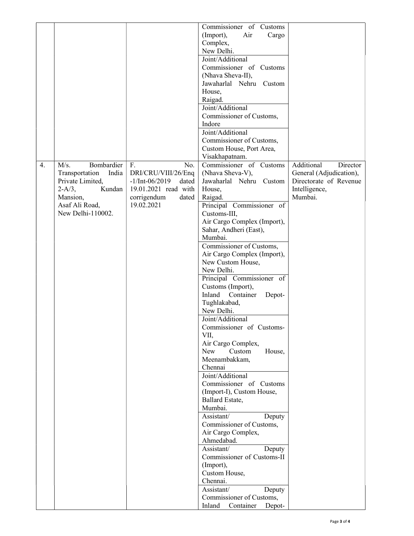|    |                            |                                    | Commissioner of Customs                   |                         |
|----|----------------------------|------------------------------------|-------------------------------------------|-------------------------|
|    |                            |                                    | Air<br>(Import),<br>Cargo                 |                         |
|    |                            |                                    | Complex,                                  |                         |
|    |                            |                                    | New Delhi.                                |                         |
|    |                            |                                    | Joint/Additional                          |                         |
|    |                            |                                    | Commissioner of Customs                   |                         |
|    |                            |                                    | (Nhava Sheva-II),                         |                         |
|    |                            |                                    | Jawaharlal Nehru Custom                   |                         |
|    |                            |                                    | House,                                    |                         |
|    |                            |                                    | Raigad.                                   |                         |
|    |                            |                                    | Joint/Additional                          |                         |
|    |                            |                                    | Commissioner of Customs,                  |                         |
|    |                            |                                    | Indore                                    |                         |
|    |                            |                                    | Joint/Additional                          |                         |
|    |                            |                                    | Commissioner of Customs,                  |                         |
|    |                            |                                    | Custom House, Port Area,                  |                         |
|    |                            |                                    | Visakhapatnam.                            |                         |
| 4. | M/s.<br>Bombardier         | F.<br>No.                          | Commissioner of Customs                   | Additional<br>Director  |
|    | India<br>Transportation    | DRI/CRU/VIII/26/Enq                | (Nhava Sheva-V),                          | General (Adjudication), |
|    | Private Limited,           | $-1/Int-06/2019$<br>dated          | Jawaharlal Nehru Custom                   | Directorate of Revenue  |
|    | $2-A/3,$<br>Kundan         | 19.01.2021 read with               | House,                                    | Intelligence,           |
|    | Mansion,<br>Asaf Ali Road, | corrigendum<br>dated<br>19.02.2021 | Raigad.                                   | Mumbai.                 |
|    | New Delhi-110002.          |                                    | Principal Commissioner of<br>Customs-III, |                         |
|    |                            |                                    | Air Cargo Complex (Import),               |                         |
|    |                            |                                    | Sahar, Andheri (East),                    |                         |
|    |                            |                                    | Mumbai.                                   |                         |
|    |                            |                                    | Commissioner of Customs,                  |                         |
|    |                            |                                    | Air Cargo Complex (Import),               |                         |
|    |                            |                                    | New Custom House,                         |                         |
|    |                            |                                    | New Delhi.                                |                         |
|    |                            |                                    | Principal Commissioner of                 |                         |
|    |                            |                                    | Customs (Import),                         |                         |
|    |                            |                                    | Inland Container<br>Depot-                |                         |
|    |                            |                                    | Tughlakabad,                              |                         |
|    |                            |                                    | New Delhi.                                |                         |
|    |                            |                                    | Joint/Additional                          |                         |
|    |                            |                                    | Commissioner of Customs-                  |                         |
|    |                            |                                    | VII,                                      |                         |
|    |                            |                                    | Air Cargo Complex,                        |                         |
|    |                            |                                    | New<br>Custom<br>House,                   |                         |
|    |                            |                                    | Meenambakkam,                             |                         |
|    |                            |                                    | Chennai                                   |                         |
|    |                            |                                    | Joint/Additional                          |                         |
|    |                            |                                    | Commissioner of Customs                   |                         |
|    |                            |                                    | (Import-I), Custom House,                 |                         |
|    |                            |                                    | Ballard Estate,                           |                         |
|    |                            |                                    | Mumbai.                                   |                         |
|    |                            |                                    | Assistant/<br>Deputy                      |                         |
|    |                            |                                    | Commissioner of Customs,                  |                         |
|    |                            |                                    | Air Cargo Complex,                        |                         |
|    |                            |                                    | Ahmedabad.                                |                         |
|    |                            |                                    | Assistant/<br>Deputy                      |                         |
|    |                            |                                    | Commissioner of Customs-II                |                         |
|    |                            |                                    | (Import),                                 |                         |
|    |                            |                                    | Custom House,<br>Chennai.                 |                         |
|    |                            |                                    | Assistant/<br>Deputy                      |                         |
|    |                            |                                    | Commissioner of Customs,                  |                         |
|    |                            |                                    | Inland<br>Container<br>Depot-             |                         |
|    |                            |                                    |                                           |                         |